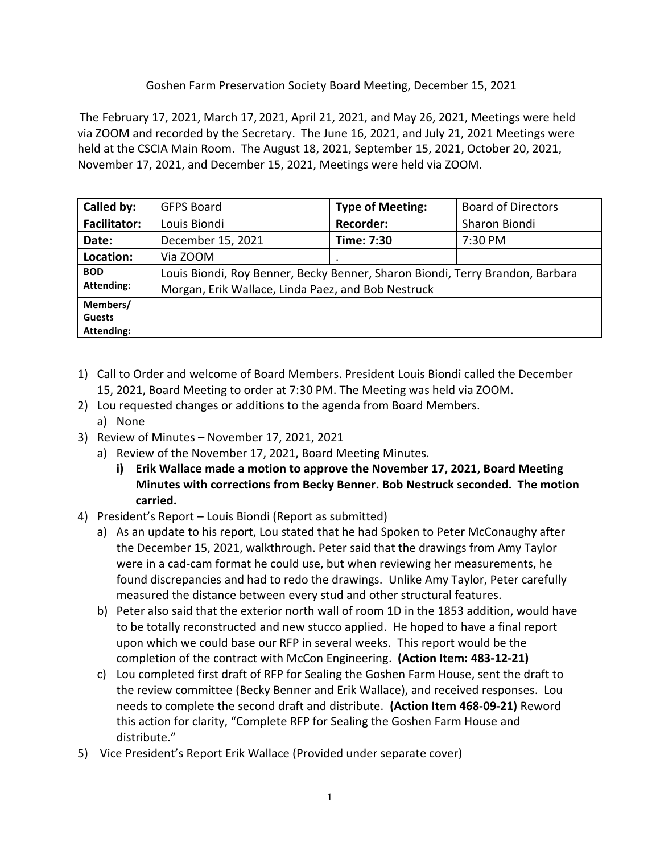## Goshen Farm Preservation Society Board Meeting, December 15, 2021

The February 17, 2021, March 17, 2021, April 21, 2021, and May 26, 2021, Meetings were held via ZOOM and recorded by the Secretary. The June 16, 2021, and July 21, 2021 Meetings were held at the CSCIA Main Room. The August 18, 2021, September 15, 2021, October 20, 2021, November 17, 2021, and December 15, 2021, Meetings were held via ZOOM.

| Called by:                                     | <b>GFPS Board</b>                                                                                                                   | <b>Type of Meeting:</b> | <b>Board of Directors</b> |
|------------------------------------------------|-------------------------------------------------------------------------------------------------------------------------------------|-------------------------|---------------------------|
| <b>Facilitator:</b>                            | Louis Biondi                                                                                                                        | <b>Recorder:</b>        | Sharon Biondi             |
| Date:                                          | December 15, 2021                                                                                                                   | Time: 7:30              | 7:30 PM                   |
| Location:                                      | Via ZOOM                                                                                                                            | ٠                       |                           |
| <b>BOD</b><br><b>Attending:</b>                | Louis Biondi, Roy Benner, Becky Benner, Sharon Biondi, Terry Brandon, Barbara<br>Morgan, Erik Wallace, Linda Paez, and Bob Nestruck |                         |                           |
| Members/<br><b>Guests</b><br><b>Attending:</b> |                                                                                                                                     |                         |                           |

- 1) Call to Order and welcome of Board Members. President Louis Biondi called the December 15, 2021, Board Meeting to order at 7:30 PM. The Meeting was held via ZOOM.
- 2) Lou requested changes or additions to the agenda from Board Members.
- a) None
- 3) Review of Minutes November 17, 2021, 2021
	- a) Review of the November 17, 2021, Board Meeting Minutes.
		- **i) Erik Wallace made a motion to approve the November 17, 2021, Board Meeting Minutes with corrections from Becky Benner. Bob Nestruck seconded. The motion carried.**
- 4) President's Report Louis Biondi (Report as submitted)
	- a) As an update to his report, Lou stated that he had Spoken to Peter McConaughy after the December 15, 2021, walkthrough. Peter said that the drawings from Amy Taylor were in a cad-cam format he could use, but when reviewing her measurements, he found discrepancies and had to redo the drawings. Unlike Amy Taylor, Peter carefully measured the distance between every stud and other structural features.
	- b) Peter also said that the exterior north wall of room 1D in the 1853 addition, would have to be totally reconstructed and new stucco applied. He hoped to have a final report upon which we could base our RFP in several weeks. This report would be the completion of the contract with McCon Engineering. **(Action Item: 483-12-21)**
	- c) Lou completed first draft of RFP for Sealing the Goshen Farm House, sent the draft to the review committee (Becky Benner and Erik Wallace), and received responses. Lou needs to complete the second draft and distribute. **(Action Item 468-09-21)** Reword this action for clarity, "Complete RFP for Sealing the Goshen Farm House and distribute."
- 5) Vice President's Report Erik Wallace (Provided under separate cover)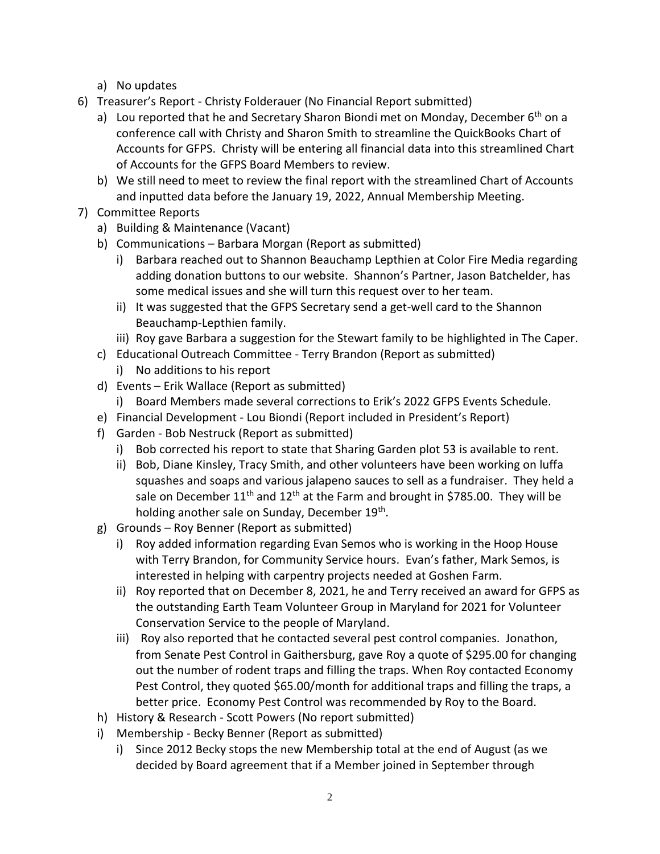- a) No updates
- 6) Treasurer's Report Christy Folderauer (No Financial Report submitted)
	- a) Lou reported that he and Secretary Sharon Biondi met on Monday, December 6<sup>th</sup> on a conference call with Christy and Sharon Smith to streamline the QuickBooks Chart of Accounts for GFPS. Christy will be entering all financial data into this streamlined Chart of Accounts for the GFPS Board Members to review.
	- b) We still need to meet to review the final report with the streamlined Chart of Accounts and inputted data before the January 19, 2022, Annual Membership Meeting.
- 7) Committee Reports
	- a) Building & Maintenance (Vacant)
	- b) Communications Barbara Morgan (Report as submitted)
		- i) Barbara reached out to Shannon Beauchamp Lepthien at Color Fire Media regarding adding donation buttons to our website. Shannon's Partner, Jason Batchelder, has some medical issues and she will turn this request over to her team.
		- ii) It was suggested that the GFPS Secretary send a get-well card to the Shannon Beauchamp-Lepthien family.
		- iii) Roy gave Barbara a suggestion for the Stewart family to be highlighted in The Caper.
	- c) Educational Outreach Committee Terry Brandon (Report as submitted)
		- i) No additions to his report
	- d) Events Erik Wallace (Report as submitted)
		- i) Board Members made several corrections to Erik's 2022 GFPS Events Schedule.
	- e) Financial Development Lou Biondi (Report included in President's Report)
	- f) Garden Bob Nestruck (Report as submitted)
		- i) Bob corrected his report to state that Sharing Garden plot 53 is available to rent.
		- ii) Bob, Diane Kinsley, Tracy Smith, and other volunteers have been working on luffa squashes and soaps and various jalapeno sauces to sell as a fundraiser. They held a sale on December  $11<sup>th</sup>$  and  $12<sup>th</sup>$  at the Farm and brought in \$785.00. They will be holding another sale on Sunday, December 19<sup>th</sup>.
	- g) Grounds Roy Benner (Report as submitted)
		- i) Roy added information regarding Evan Semos who is working in the Hoop House with Terry Brandon, for Community Service hours. Evan's father, Mark Semos, is interested in helping with carpentry projects needed at Goshen Farm.
		- ii) Roy reported that on December 8, 2021, he and Terry received an award for GFPS as the outstanding Earth Team Volunteer Group in Maryland for 2021 for Volunteer Conservation Service to the people of Maryland.
		- iii) Roy also reported that he contacted several pest control companies. Jonathon, from Senate Pest Control in Gaithersburg, gave Roy a quote of \$295.00 for changing out the number of rodent traps and filling the traps. When Roy contacted Economy Pest Control, they quoted \$65.00/month for additional traps and filling the traps, a better price. Economy Pest Control was recommended by Roy to the Board.
	- h) History & Research Scott Powers (No report submitted)
	- i) Membership Becky Benner (Report as submitted)
		- i) Since 2012 Becky stops the new Membership total at the end of August (as we decided by Board agreement that if a Member joined in September through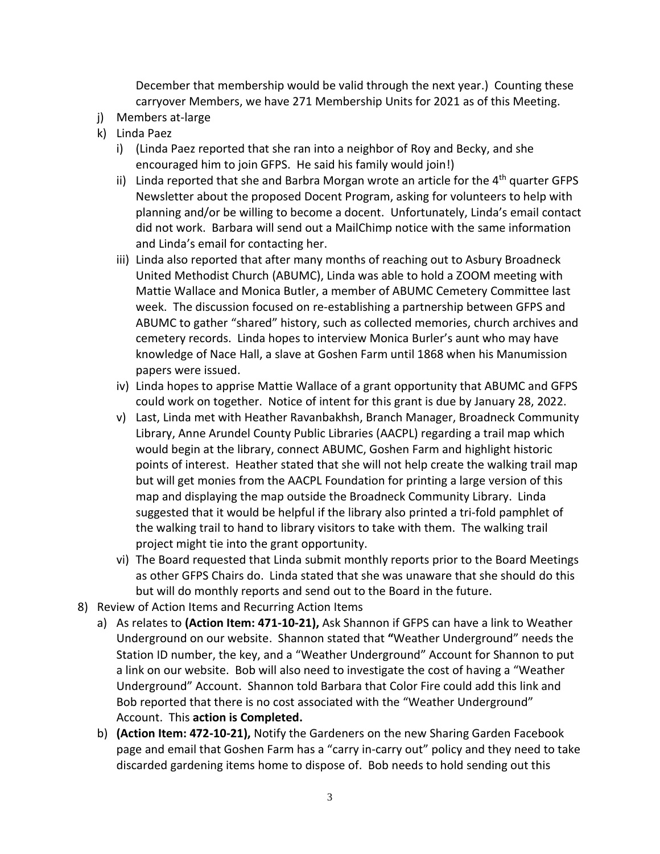December that membership would be valid through the next year.) Counting these carryover Members, we have 271 Membership Units for 2021 as of this Meeting.

- j) Members at-large
- k) Linda Paez
	- i) (Linda Paez reported that she ran into a neighbor of Roy and Becky, and she encouraged him to join GFPS. He said his family would join!)
	- ii) Linda reported that she and Barbra Morgan wrote an article for the  $4<sup>th</sup>$  quarter GFPS Newsletter about the proposed Docent Program, asking for volunteers to help with planning and/or be willing to become a docent. Unfortunately, Linda's email contact did not work. Barbara will send out a MailChimp notice with the same information and Linda's email for contacting her.
	- iii) Linda also reported that after many months of reaching out to Asbury Broadneck United Methodist Church (ABUMC), Linda was able to hold a ZOOM meeting with Mattie Wallace and Monica Butler, a member of ABUMC Cemetery Committee last week. The discussion focused on re-establishing a partnership between GFPS and ABUMC to gather "shared" history, such as collected memories, church archives and cemetery records. Linda hopes to interview Monica Burler's aunt who may have knowledge of Nace Hall, a slave at Goshen Farm until 1868 when his Manumission papers were issued.
	- iv) Linda hopes to apprise Mattie Wallace of a grant opportunity that ABUMC and GFPS could work on together. Notice of intent for this grant is due by January 28, 2022.
	- v) Last, Linda met with Heather Ravanbakhsh, Branch Manager, Broadneck Community Library, Anne Arundel County Public Libraries (AACPL) regarding a trail map which would begin at the library, connect ABUMC, Goshen Farm and highlight historic points of interest. Heather stated that she will not help create the walking trail map but will get monies from the AACPL Foundation for printing a large version of this map and displaying the map outside the Broadneck Community Library. Linda suggested that it would be helpful if the library also printed a tri-fold pamphlet of the walking trail to hand to library visitors to take with them. The walking trail project might tie into the grant opportunity.
	- vi) The Board requested that Linda submit monthly reports prior to the Board Meetings as other GFPS Chairs do. Linda stated that she was unaware that she should do this but will do monthly reports and send out to the Board in the future.
- 8) Review of Action Items and Recurring Action Items
	- a) As relates to **(Action Item: 471-10-21),** Ask Shannon if GFPS can have a link to Weather Underground on our website. Shannon stated that **"**Weather Underground" needs the Station ID number, the key, and a "Weather Underground" Account for Shannon to put a link on our website. Bob will also need to investigate the cost of having a "Weather Underground" Account. Shannon told Barbara that Color Fire could add this link and Bob reported that there is no cost associated with the "Weather Underground" Account. This **action is Completed.**
	- b) **(Action Item: 472-10-21),** Notify the Gardeners on the new Sharing Garden Facebook page and email that Goshen Farm has a "carry in-carry out" policy and they need to take discarded gardening items home to dispose of. Bob needs to hold sending out this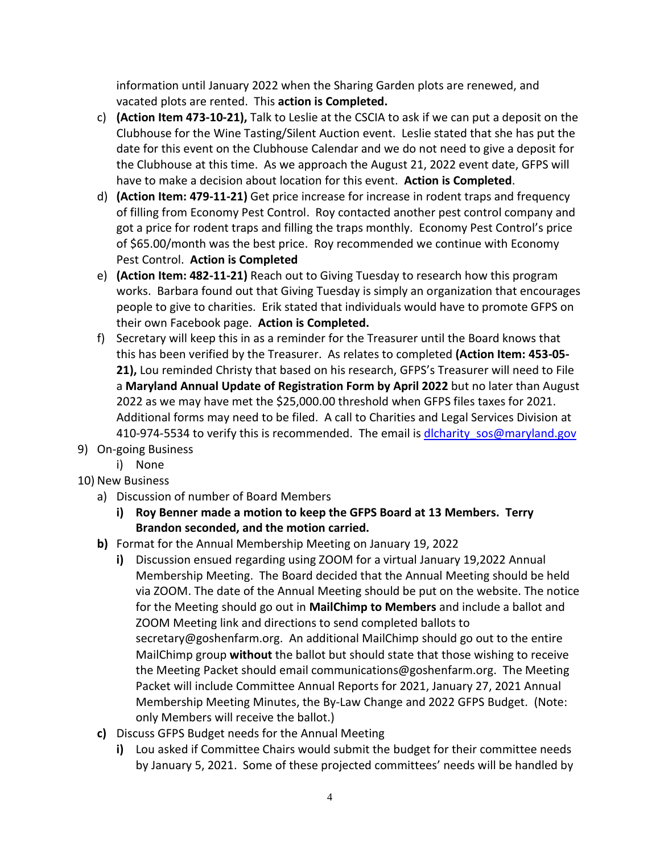information until January 2022 when the Sharing Garden plots are renewed, and vacated plots are rented. This **action is Completed.**

- c) **(Action Item 473-10-21),** Talk to Leslie at the CSCIA to ask if we can put a deposit on the Clubhouse for the Wine Tasting/Silent Auction event. Leslie stated that she has put the date for this event on the Clubhouse Calendar and we do not need to give a deposit for the Clubhouse at this time. As we approach the August 21, 2022 event date, GFPS will have to make a decision about location for this event. **Action is Completed**.
- d) **(Action Item: 479-11-21)** Get price increase for increase in rodent traps and frequency of filling from Economy Pest Control. Roy contacted another pest control company and got a price for rodent traps and filling the traps monthly. Economy Pest Control's price of \$65.00/month was the best price. Roy recommended we continue with Economy Pest Control. **Action is Completed**
- e) **(Action Item: 482-11-21)** Reach out to Giving Tuesday to research how this program works. Barbara found out that Giving Tuesday is simply an organization that encourages people to give to charities. Erik stated that individuals would have to promote GFPS on their own Facebook page. **Action is Completed.**
- f) Secretary will keep this in as a reminder for the Treasurer until the Board knows that this has been verified by the Treasurer. As relates to completed **(Action Item: 453-05- 21),** Lou reminded Christy that based on his research, GFPS's Treasurer will need to File a **Maryland Annual Update of Registration Form by April 2022** but no later than August 2022 as we may have met the \$25,000.00 threshold when GFPS files taxes for 2021. Additional forms may need to be filed. A call to Charities and Legal Services Division at 410-974-5534 to verify this is recommended. The email is dlcharity sos@maryland.gov
- 9) On-going Business
	- i) None

## 10) New Business

- a) Discussion of number of Board Members
	- **i) Roy Benner made a motion to keep the GFPS Board at 13 Members. Terry Brandon seconded, and the motion carried.**
- **b)** Format for the Annual Membership Meeting on January 19, 2022
	- **i)** Discussion ensued regarding using ZOOM for a virtual January 19,2022 Annual Membership Meeting. The Board decided that the Annual Meeting should be held via ZOOM. The date of the Annual Meeting should be put on the website. The notice for the Meeting should go out in **MailChimp to Members** and include a ballot and ZOOM Meeting link and directions to send completed ballots to secretary@goshenfarm.org. An additional MailChimp should go out to the entire MailChimp group **without** the ballot but should state that those wishing to receive the Meeting Packet should email communications@goshenfarm.org. The Meeting Packet will include Committee Annual Reports for 2021, January 27, 2021 Annual Membership Meeting Minutes, the By-Law Change and 2022 GFPS Budget. (Note: only Members will receive the ballot.)
- **c)** Discuss GFPS Budget needs for the Annual Meeting
	- **i)** Lou asked if Committee Chairs would submit the budget for their committee needs by January 5, 2021. Some of these projected committees' needs will be handled by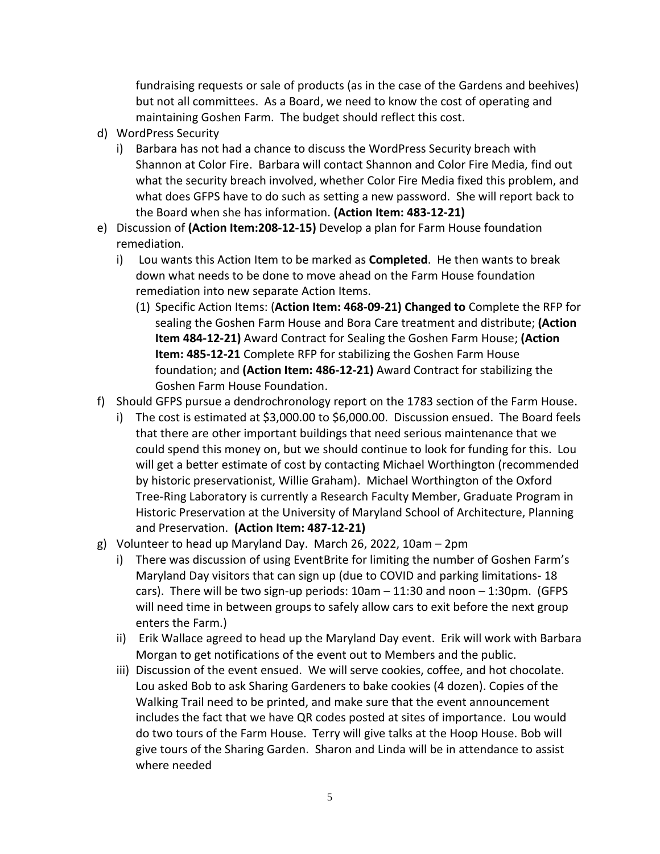fundraising requests or sale of products (as in the case of the Gardens and beehives) but not all committees. As a Board, we need to know the cost of operating and maintaining Goshen Farm. The budget should reflect this cost.

- d) WordPress Security
	- i) Barbara has not had a chance to discuss the WordPress Security breach with Shannon at Color Fire. Barbara will contact Shannon and Color Fire Media, find out what the security breach involved, whether Color Fire Media fixed this problem, and what does GFPS have to do such as setting a new password. She will report back to the Board when she has information. **(Action Item: 483-12-21)**
- e) Discussion of **(Action Item:208-12-15)** Develop a plan for Farm House foundation remediation.
	- i) Lou wants this Action Item to be marked as **Completed**. He then wants to break down what needs to be done to move ahead on the Farm House foundation remediation into new separate Action Items.
		- (1) Specific Action Items: (**Action Item: 468-09-21) Changed to** Complete the RFP for sealing the Goshen Farm House and Bora Care treatment and distribute; **(Action Item 484-12-21)** Award Contract for Sealing the Goshen Farm House; **(Action Item: 485-12-21** Complete RFP for stabilizing the Goshen Farm House foundation; and **(Action Item: 486-12-21)** Award Contract for stabilizing the Goshen Farm House Foundation.
- f) Should GFPS pursue a dendrochronology report on the 1783 section of the Farm House.
	- i) The cost is estimated at \$3,000.00 to \$6,000.00. Discussion ensued. The Board feels that there are other important buildings that need serious maintenance that we could spend this money on, but we should continue to look for funding for this. Lou will get a better estimate of cost by contacting Michael Worthington (recommended by historic preservationist, Willie Graham). Michael Worthington of the Oxford Tree-Ring Laboratory is currently a Research Faculty Member, Graduate Program in Historic Preservation at the University of Maryland School of Architecture, Planning and Preservation. **(Action Item: 487-12-21)**
- g) Volunteer to head up Maryland Day. March 26, 2022, 10am 2pm
	- i) There was discussion of using EventBrite for limiting the number of Goshen Farm's Maryland Day visitors that can sign up (due to COVID and parking limitations- 18 cars). There will be two sign-up periods: 10am – 11:30 and noon – 1:30pm. (GFPS will need time in between groups to safely allow cars to exit before the next group enters the Farm.)
	- ii) Erik Wallace agreed to head up the Maryland Day event. Erik will work with Barbara Morgan to get notifications of the event out to Members and the public.
	- iii) Discussion of the event ensued. We will serve cookies, coffee, and hot chocolate. Lou asked Bob to ask Sharing Gardeners to bake cookies (4 dozen). Copies of the Walking Trail need to be printed, and make sure that the event announcement includes the fact that we have QR codes posted at sites of importance. Lou would do two tours of the Farm House. Terry will give talks at the Hoop House. Bob will give tours of the Sharing Garden. Sharon and Linda will be in attendance to assist where needed